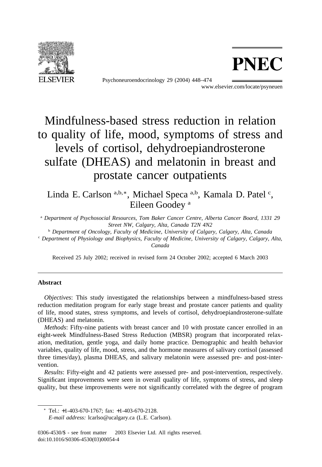

Psychoneuroendocrinology 29 (2004) 448–474



www.elsevier.com/locate/psyneuen

# Mindfulness-based stress reduction in relation to quality of life, mood, symptoms of stress and levels of cortisol, dehydroepiandrosterone sulfate (DHEAS) and melatonin in breast and prostate cancer outpatients

## Linda E. Carlson<sup>a,b,\*</sup>, Michael Speca<sup>a,b</sup>, Kamala D. Patel<sup>c</sup>, Eileen Goodey <sup>a</sup>

<sup>a</sup> *Department of Psychosocial Resources, Tom Baker Cancer Centre, Alberta Cancer Board, 1331 29 Street NW, Calgary, Alta, Canada T2N 4N2*

<sup>b</sup> *Department of Oncology, Faculty of Medicine, University of Calgary, Calgary, Alta, Canada*

<sup>c</sup> *Department of Physiology and Biophysics, Faculty of Medicine, University of Calgary, Calgary, Alta, Canada*

Received 25 July 2002; received in revised form 24 October 2002; accepted 6 March 2003

## **Abstract**

*Objectives*: This study investigated the relationships between a mindfulness-based stress reduction meditation program for early stage breast and prostate cancer patients and quality of life, mood states, stress symptoms, and levels of cortisol, dehydroepiandrosterone-sulfate (DHEAS) and melatonin.

*Methods*: Fifty-nine patients with breast cancer and 10 with prostate cancer enrolled in an eight-week Mindfulness-Based Stress Reduction (MBSR) program that incorporated relaxation, meditation, gentle yoga, and daily home practice. Demographic and health behavior variables, quality of life, mood, stress, and the hormone measures of salivary cortisol (assessed three times/day), plasma DHEAS, and salivary melatonin were assessed pre- and post-intervention.

*Results*: Fifty-eight and 42 patients were assessed pre- and post-intervention, respectively. Significant improvements were seen in overall quality of life, symptoms of stress, and sleep quality, but these improvements were not significantly correlated with the degree of program

<sup>∗</sup> Tel.: +1-403-670-1767; fax: +1-403-670-2128. *E-mail address:* lcarlso@ucalgary.ca (L.E. Carlson).

0306-4530/\$ - see front matter  $\odot$  2003 Elsevier Ltd. All rights reserved. doi:10.1016/S0306-4530(03)00054-4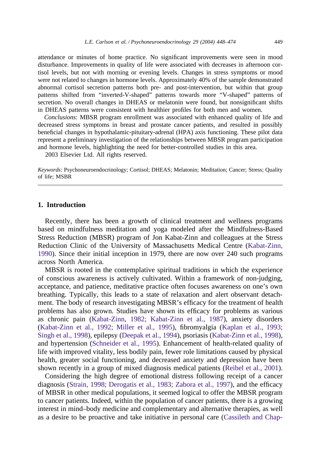attendance or minutes of home practice. No significant improvements were seen in mood disturbance. Improvements in quality of life were associated with decreases in afternoon cortisol levels, but not with morning or evening levels. Changes in stress symptoms or mood were not related to changes in hormone levels. Approximately 40% of the sample demonstrated abnormal cortisol secretion patterns both pre- and post-intervention, but within that group patterns shifted from "inverted-V-shaped" patterns towards more "V-shaped" patterns of secretion. No overall changes in DHEAS or melatonin were found, but nonsignificant shifts in DHEAS patterns were consistent with healthier profiles for both men and women.

*Conclusions*: MBSR program enrollment was associated with enhanced quality of life and decreased stress symptoms in breast and prostate cancer patients, and resulted in possibly beneficial changes in hypothalamic-pituitary-adrenal (HPA) axis functioning. These pilot data represent a preliminary investigation of the relationships between MBSR program participation and hormone levels, highlighting the need for better-controlled studies in this area. 2003 Elsevier Ltd. All rights reserved.

*Keywords:* Psychoneuroendocrinology; Cortisol; DHEAS; Melatonin; Meditation; Cancer; Stress; Quality of life; MSBR

## **1. Introduction**

Recently, there has been a growth of clinical treatment and wellness programs based on mindfulness meditation and yoga modeled after the Mindfulness-Based Stress Reduction (MBSR) program of Jon Kabat-Zinn and colleagues at the Stress Reduction Clinic of the University of Massachusetts Medical Centre [\(Kabat-Zinn,](#page-24-0) [1990\)](#page-24-0). Since their initial inception in 1979, there are now over 240 such programs across North America.

MBSR is rooted in the contemplative spiritual traditions in which the experience of conscious awareness is actively cultivated. Within a framework of non-judging, acceptance, and patience, meditative practice often focuses awareness on one's own breathing. Typically, this leads to a state of relaxation and alert observant detachment. The body of research investigating MBSR's efficacy for the treatment of health problems has also grown. Studies have shown its efficacy for problems as various as chronic pain [\(Kabat-Zinn, 1982; Kabat-Zinn et al., 1987\)](#page-24-0), anxiety disorders [\(Kabat-Zinn et al., 1992; Miller et al., 1995\)](#page-24-0), fibromyalgia [\(Kaplan et al., 1993;](#page-24-0) [Singh et al., 1998\)](#page-24-0), epilepsy [\(Deepak et al., 1994\)](#page-23-0), psoriasis [\(Kabat-Zinn et al., 1998\)](#page-24-0), and hypertension [\(Schneider et al., 1995\)](#page-25-0). Enhancement of health-related quality of life with improved vitality, less bodily pain, fewer role limitations caused by physical health, greater social functioning, and decreased anxiety and depression have been shown recently in a group of mixed diagnosis medical patients [\(Reibel et al., 2001\)](#page-25-0).

Considering the high degree of emotional distress following receipt of a cancer diagnosis [\(Strain, 1998; Derogatis et al., 1983; Zabora et al., 1997\)](#page-25-0), and the efficacy of MBSR in other medical populations, it seemed logical to offer the MBSR program to cancer patients. Indeed, within the population of cancer patients, there is a growing interest in mind–body medicine and complementary and alternative therapies, as well as a desire to be proactive and take initiative in personal care [\(Cassileth and Chap-](#page-23-0)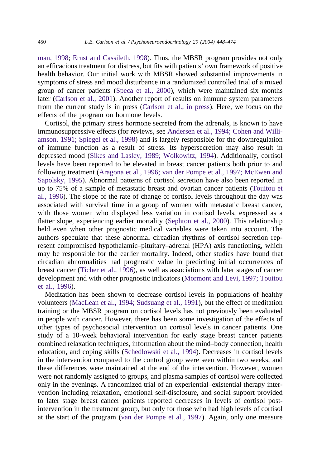[man, 1998;](#page-23-0) [Ernst and Cassileth, 1998\)](#page-23-0). Thus, the MBSR program provides not only an efficacious treatment for distress, but fits with patients' own framework of positive health behavior. Our initial work with MBSR showed substantial improvements in symptoms of stress and mood disturbance in a randomized controlled trial of a mixed group of cancer patients [\(Speca et al., 2000\)](#page-25-0), which were maintained six months later [\(Carlson et al., 2001\)](#page-22-0). Another report of results on immune system parameters from the current study is in press [\(Carlson et al., in press\)](#page-22-0). Here, we focus on the effects of the program on hormone levels.

Cortisol, the primary stress hormone secreted from the adrenals, is known to have immunosuppressive effects (for reviews, see [Andersen et al., 1994; Cohen and Willi](#page-22-0)[amson, 1991; Spiegel et al., 1998\)](#page-22-0) and is largely responsible for the downregulation of immune function as a result of stress. Its hypersecretion may also result in depressed mood [\(Sikes and Lasley, 1989; Wolkowitz, 1994\)](#page-25-0). Additionally, cortisol levels have been reported to be elevated in breast cancer patients both prior to and following treatment [\(Aragona et al., 1996; van der Pompe et al., 1997; McEwen and](#page-22-0) [Sapolsky, 1995\)](#page-22-0). Abnormal patterns of cortisol secretion have also been reported in up to 75% of a sample of metastatic breast and ovarian cancer patients [\(Touitou et](#page-26-0) [al., 1996\)](#page-26-0). The slope of the rate of change of cortisol levels throughout the day was associated with survival time in a group of women with metastatic breast cancer, with those women who displayed less variation in cortisol levels, expressed as a flatter slope, experiencing earlier mortality [\(Sephton et al., 2000\)](#page-25-0). This relationship held even when other prognostic medical variables were taken into account. The authors speculate that these abnormal circadian rhythms of cortisol secretion represent compromised hypothalamic–pituitary–adrenal (HPA) axis functioning, which may be responsible for the earlier mortality. Indeed, other studies have found that circadian abnormalities had prognostic value in predicting initial occurrences of breast cancer [\(Ticher et al., 1996\)](#page-26-0), as well as associations with later stages of cancer development and with other prognostic indicators [\(Mormont and Levi, 1997; Touitou](#page-25-0) [et al., 1996\)](#page-25-0).

Meditation has been shown to decrease cortisol levels in populations of healthy volunteers [\(MacLean et al., 1994; Sudsuang et al., 1991\)](#page-24-0), but the effect of meditation training or the MBSR program on cortisol levels has not previously been evaluated in people with cancer. However, there has been some investigation of the effects of other types of psychosocial intervention on cortisol levels in cancer patients. One study of a 10-week behavioral intervention for early stage breast cancer patients combined relaxation techniques, information about the mind–body connection, health education, and coping skills [\(Schedlowski et al., 1994\)](#page-25-0). Decreases in cortisol levels in the intervention compared to the control group were seen within two weeks, and these differences were maintained at the end of the intervention. However, women were not randomly assigned to groups, and plasma samples of cortisol were collected only in the evenings. A randomized trial of an experiential–existential therapy intervention including relaxation, emotional self-disclosure, and social support provided to later stage breast cancer patients reported decreases in levels of cortisol postintervention in the treatment group, but only for those who had high levels of cortisol at the start of the program [\(van der Pompe et al., 1997\)](#page-26-0). Again, only one measure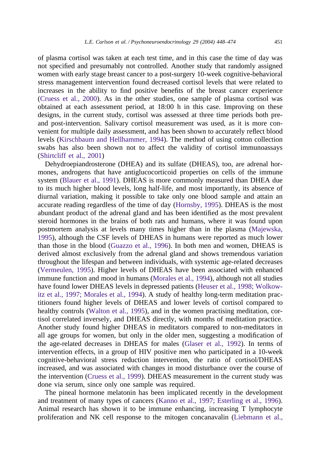of plasma cortisol was taken at each test time, and in this case the time of day was not specified and presumably not controlled. Another study that randomly assigned women with early stage breast cancer to a post-surgery 10-week cognitive-behavioral stress management intervention found decreased cortisol levels that were related to increases in the ability to find positive benefits of the breast cancer experience [\(Cruess et al., 2000\)](#page-23-0). As in the other studies, one sample of plasma cortisol was obtained at each assessment period, at 18:00 h in this case. Improving on these designs, in the current study, cortisol was assessed at three time periods both preand post-intervention. Salivary cortisol measurement was used, as it is more convenient for multiple daily assessment, and has been shown to accurately reflect blood levels [\(Kirschbaum and Hellhammer, 1994\)](#page-24-0). The method of using cotton collection swabs has also been shown not to affect the validity of cortisol immunoassays [\(Shirtcliff et al., 2001\)](#page-25-0)

Dehydroepiandrosterone (DHEA) and its sulfate (DHEAS), too, are adrenal hormones, androgens that have antiglucocorticoid properties on cells of the immune system [\(Blauer et al., 1991\)](#page-22-0). DHEAS is more commonly measured than DHEA due to its much higher blood levels, long half-life, and most importantly, its absence of diurnal variation, making it possible to take only one blood sample and attain an accurate reading regardless of the time of day [\(Hornsby, 1995\)](#page-23-0). DHEAS is the most abundant product of the adrenal gland and has been identified as the most prevalent steroid hormones in the brains of both rats and humans, where it was found upon postmortem analysis at levels many times higher than in the plasma [\(Majewska,](#page-24-0) [1995\)](#page-24-0), although the CSF levels of DHEAS in humans were reported as much lower than those in the blood [\(Guazzo et al., 1996\)](#page-23-0). In both men and women, DHEAS is derived almost exclusively from the adrenal gland and shows tremendous variation throughout the lifespan and between individuals, with systemic age-related decreases [\(Vermeulen, 1995\)](#page-26-0). Higher levels of DHEAS have been associated with enhanced immune function and mood in humans [\(Morales et al., 1994\)](#page-25-0), although not all studies have found lower DHEAS levels in depressed patients [\(Heuser et al., 1998; Wolkow](#page-23-0)[itz et al., 1997; Morales et al., 1994\)](#page-23-0). A study of healthy long-term meditation practitioners found higher levels of DHEAS and lower levels of cortisol compared to healthy controls [\(Walton et al., 1995\)](#page-26-0), and in the women practising meditation, cortisol correlated inversely, and DHEAS directly, with months of meditation practice. Another study found higher DHEAS in meditators compared to non-meditators in all age groups for women, but only in the older men, suggesting a modification of the age-related decreases in DHEAS for males [\(Glaser et al., 1992\)](#page-23-0). In terms of intervention effects, in a group of HIV positive men who participated in a 10-week cognitive-behavioral stress reduction intervention, the ratio of cortisol/DHEAS increased, and was associated with changes in mood disturbance over the course of the intervention [\(Cruess et al., 1999\)](#page-23-0). DHEAS measurement in the current study was done via serum, since only one sample was required.

The pineal hormone melatonin has been implicated recently in the development and treatment of many types of cancers [\(Kanno et al., 1997; Esterling et al., 1996\)](#page-24-0). Animal research has shown it to be immune enhancing, increasing T lymphocyte proliferation and NK cell response to the mitogen concanavalin [\(Liebmann et al.,](#page-24-0)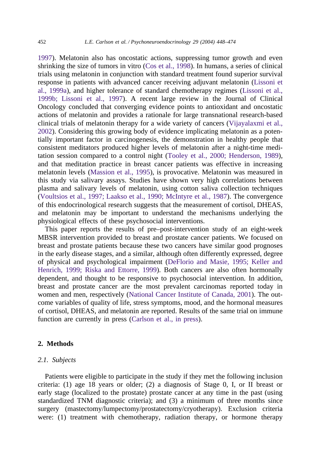[1997\)](#page-24-0). Melatonin also has oncostatic actions, suppressing tumor growth and even shrinking the size of tumors in vitro [\(Cos et al., 1998\)](#page-23-0). In humans, a series of clinical trials using melatonin in conjunction with standard treatment found superior survival response in patients with advanced cancer receiving adjuvant melatonin [\(Lissoni et](#page-24-0) [al., 1999a\)](#page-24-0), and higher tolerance of standard chemotherapy regimes [\(Lissoni et al.,](#page-24-0) [1999b; Lissoni et al., 1997\)](#page-24-0). A recent large review in the Journal of Clinical Oncology concluded that converging evidence points to antioxidant and oncostatic actions of melatonin and provides a rationale for large transnational research-based clinical trials of melatonin therapy for a wide variety of cancers [\(Vijayalaxmi et al.,](#page-26-0) [2002\)](#page-26-0). Considering this growing body of evidence implicating melatonin as a potentially important factor in carcinogenesis, the demonstration in healthy people that consistent meditators produced higher levels of melatonin after a night-time meditation session compared to a control night [\(Tooley et al., 2000; Henderson, 1989\)](#page-26-0), and that meditation practice in breast cancer patients was effective in increasing melatonin levels [\(Massion et al., 1995\)](#page-24-0), is provocative. Melatonin was measured in this study via salivary assays. Studies have shown very high correlations between plasma and salivary levels of melatonin, using cotton saliva collection techniques [\(Voultsios et al., 1997; Laakso et al., 1990; McIntyre et al., 1987\)](#page-26-0). The convergence of this endocrinological research suggests that the measurement of cortisol, DHEAS, and melatonin may be important to understand the mechanisms underlying the physiological effects of these psychosocial interventions.

This paper reports the results of pre–post-intervention study of an eight-week MBSR intervention provided to breast and prostate cancer patients. We focused on breast and prostate patients because these two cancers have similar good prognoses in the early disease stages, and a similar, although often differently expressed, degree of physical and psychological impairment [\(DeFlorio and Masie, 1995; Keller and](#page-23-0) [Henrich, 1999; Riska and Ettorre, 1999\)](#page-23-0). Both cancers are also often hormonally dependent, and thought to be responsive to psychosocial intervention. In addition, breast and prostate cancer are the most prevalent carcinomas reported today in women and men, respectively [\(National Cancer Institute of Canada, 2001\)](#page-25-0). The outcome variables of quality of life, stress symptoms, mood, and the hormonal measures of cortisol, DHEAS, and melatonin are reported. Results of the same trial on immune function are currently in press [\(Carlson et al., in press\)](#page-22-0).

## **2. Methods**

#### *2.1. Subjects*

Patients were eligible to participate in the study if they met the following inclusion criteria: (1) age 18 years or older; (2) a diagnosis of Stage 0, I, or II breast or early stage (localized to the prostate) prostate cancer at any time in the past (using standardized TNM diagnostic criteria); and (3) a minimum of three months since surgery (mastectomy/lumpectomy/prostatectomy/cryotherapy). Exclusion criteria were: (1) treatment with chemotherapy, radiation therapy, or hormone therapy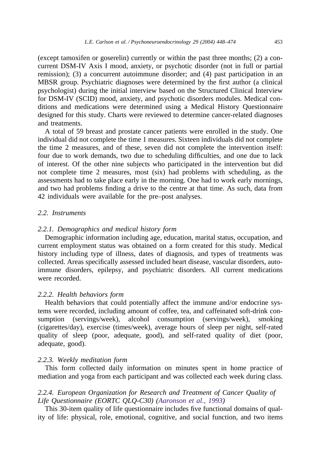(except tamoxifen or goserelin) currently or within the past three months; (2) a concurrent DSM-IV Axis I mood, anxiety, or psychotic disorder (not in full or partial remission); (3) a concurrent autoimmune disorder; and (4) past participation in an MBSR group. Psychiatric diagnoses were determined by the first author (a clinical psychologist) during the initial interview based on the Structured Clinical Interview for DSM-IV (SCID) mood, anxiety, and psychotic disorders modules. Medical conditions and medications were determined using a Medical History Questionnaire designed for this study. Charts were reviewed to determine cancer-related diagnoses and treatments.

A total of 59 breast and prostate cancer patients were enrolled in the study. One individual did not complete the time 1 measures. Sixteen individuals did not complete the time 2 measures, and of these, seven did not complete the intervention itself: four due to work demands, two due to scheduling difficulties, and one due to lack of interest. Of the other nine subjects who participated in the intervention but did not complete time 2 measures, most (six) had problems with scheduling, as the assessments had to take place early in the morning. One had to work early mornings, and two had problems finding a drive to the centre at that time. As such, data from 42 individuals were available for the pre–post analyses.

## *2.2. Instruments*

#### *2.2.1. Demographics and medical history form*

Demographic information including age, education, marital status, occupation, and current employment status was obtained on a form created for this study. Medical history including type of illness, dates of diagnosis, and types of treatments was collected. Areas specifically assessed included heart disease, vascular disorders, autoimmune disorders, epilepsy, and psychiatric disorders. All current medications were recorded.

#### *2.2.2. Health behaviors form*

Health behaviors that could potentially affect the immune and/or endocrine systems were recorded, including amount of coffee, tea, and caffeinated soft-drink consumption (servings/week), alcohol consumption (servings/week), smoking (cigarettes/day), exercise (times/week), average hours of sleep per night, self-rated quality of sleep (poor, adequate, good), and self-rated quality of diet (poor, adequate, good).

## *2.2.3. Weekly meditation form*

This form collected daily information on minutes spent in home practice of mediation and yoga from each participant and was collected each week during class.

## *2.2.4. European Organization for Research and Treatment of Cancer Quality of Life Questionnaire (EORTC QLQ-C30) [\(Aaronson et al., 1993\)](#page-22-0)*

This 30-item quality of life questionnaire includes five functional domains of quality of life: physical, role, emotional, cognitive, and social function, and two items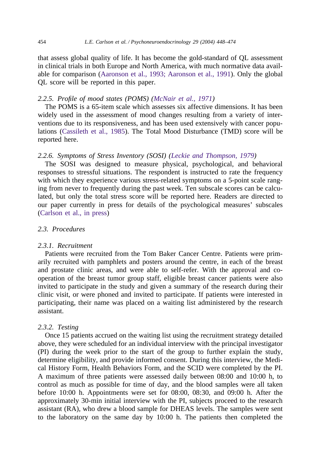that assess global quality of life. It has become the gold-standard of QL assessment in clinical trials in both Europe and North America, with much normative data available for comparison [\(Aaronson et al., 1993; Aaronson et al., 1991\)](#page-22-0). Only the global QL score will be reported in this paper.

## *2.2.5. Profile of mood states (POMS) [\(McNair et al., 1971\)](#page-25-0)*

The POMS is a 65-item scale which assesses six affective dimensions. It has been widely used in the assessment of mood changes resulting from a variety of interventions due to its responsiveness, and has been used extensively with cancer populations [\(Cassileth et al., 1985\)](#page-23-0). The Total Mood Disturbance (TMD) score will be reported here.

## *2.2.6. Symptoms of Stress Inventory (SOSI) [\(Leckie and Thompson, 1979\)](#page-24-0)*

The SOSI was designed to measure physical, psychological, and behavioral responses to stressful situations. The respondent is instructed to rate the frequency with which they experience various stress-related symptoms on a 5-point scale ranging from never to frequently during the past week. Ten subscale scores can be calculated, but only the total stress score will be reported here. Readers are directed to our paper currently in press for details of the psychological measures' subscales [\(Carlson et al., in press\)](#page-22-0)

## *2.3. Procedures*

## *2.3.1. Recruitment*

Patients were recruited from the Tom Baker Cancer Centre. Patients were primarily recruited with pamphlets and posters around the centre, in each of the breast and prostate clinic areas, and were able to self-refer. With the approval and cooperation of the breast tumor group staff, eligible breast cancer patients were also invited to participate in the study and given a summary of the research during their clinic visit, or were phoned and invited to participate. If patients were interested in participating, their name was placed on a waiting list administered by the research assistant.

## *2.3.2. Testing*

Once 15 patients accrued on the waiting list using the recruitment strategy detailed above, they were scheduled for an individual interview with the principal investigator (PI) during the week prior to the start of the group to further explain the study, determine eligibility, and provide informed consent. During this interview, the Medical History Form, Health Behaviors Form, and the SCID were completed by the PI. A maximum of three patients were assessed daily between 08:00 and 10:00 h, to control as much as possible for time of day, and the blood samples were all taken before 10:00 h. Appointments were set for 08:00, 08:30, and 09:00 h. After the approximately 30-min initial interview with the PI, subjects proceed to the research assistant (RA), who drew a blood sample for DHEAS levels. The samples were sent to the laboratory on the same day by 10:00 h. The patients then completed the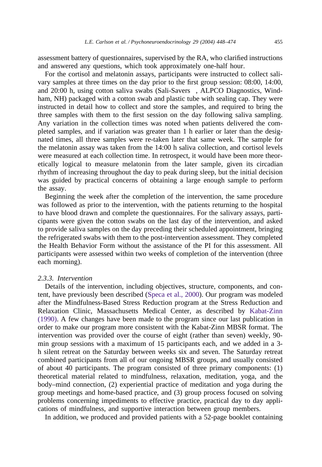assessment battery of questionnaires, supervised by the RA, who clarified instructions and answered any questions, which took approximately one-half hour.

For the cortisol and melatonin assays, participants were instructed to collect salivary samples at three times on the day prior to the first group session: 08:00, 14:00, and 20:00 h, using cotton saliva swabs (Sali-Savers®, ALPCO Diagnostics, Windham, NH) packaged with a cotton swab and plastic tube with sealing cap. They were instructed in detail how to collect and store the samples, and required to bring the three samples with them to the first session on the day following saliva sampling. Any variation in the collection times was noted when patients delivered the completed samples, and if variation was greater than 1 h earlier or later than the designated times, all three samples were re-taken later that same week. The sample for the melatonin assay was taken from the 14:00 h saliva collection, and cortisol levels were measured at each collection time. In retrospect, it would have been more theoretically logical to measure melatonin from the later sample, given its circadian rhythm of increasing throughout the day to peak during sleep, but the initial decision was guided by practical concerns of obtaining a large enough sample to perform the assay.

Beginning the week after the completion of the intervention, the same procedure was followed as prior to the intervention, with the patients returning to the hospital to have blood drawn and complete the questionnaires. For the salivary assays, participants were given the cotton swabs on the last day of the intervention, and asked to provide saliva samples on the day preceding their scheduled appointment, bringing the refrigerated swabs with them to the post-intervention assessment. They completed the Health Behavior Form without the assistance of the PI for this assessment. All participants were assessed within two weeks of completion of the intervention (three each morning).

#### *2.3.3. Intervention*

Details of the intervention, including objectives, structure, components, and content, have previously been described [\(Speca et al., 2000\)](#page-25-0). Our program was modeled after the Mindfulness-Based Stress Reduction program at the Stress Reduction and Relaxation Clinic, Massachusetts Medical Center, as described by [Kabat-Zinn](#page-24-0) [\(1990\).](#page-24-0) A few changes have been made to the program since our last publication in order to make our program more consistent with the Kabat-Zinn MBSR format. The intervention was provided over the course of eight (rather than seven) weekly, 90 min group sessions with a maximum of 15 participants each, and we added in a 3 h silent retreat on the Saturday between weeks six and seven. The Saturday retreat combined participants from all of our ongoing MBSR groups, and usually consisted of about 40 participants. The program consisted of three primary components: (1) theoretical material related to mindfulness, relaxation, meditation, yoga, and the body–mind connection, (2) experiential practice of meditation and yoga during the group meetings and home-based practice, and (3) group process focused on solving problems concerning impediments to effective practice, practical day to day applications of mindfulness, and supportive interaction between group members.

In addition, we produced and provided patients with a 52-page booklet containing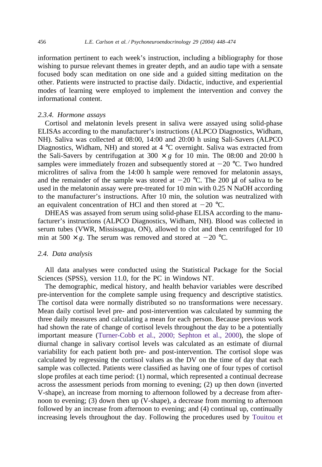information pertinent to each week's instruction, including a bibliography for those wishing to pursue relevant themes in greater depth, and an audio tape with a sensate focused body scan meditation on one side and a guided sitting meditation on the other. Patients were instructed to practise daily. Didactic, inductive, and experiential modes of learning were employed to implement the intervention and convey the informational content.

## *2.3.4. Hormone assays*

Cortisol and melatonin levels present in saliva were assayed using solid-phase ELISAs according to the manufacturer's instructions (ALPCO Diagnostics, Widham, NH). Saliva was collected at 08:00, 14:00 and 20:00 h using Sali-Savers (ALPCO Diagnostics, Widham, NH) and stored at 4 °C overnight. Saliva was extracted from the Sali-Savers by centrifugation at  $300 \times g$  for 10 min. The 08:00 and 20:00 h samples were immediately frozen and subsequently stored at  $-20$  °C. Two hundred microlitres of saliva from the 14:00 h sample were removed for melatonin assays, and the remainder of the sample was stored at  $-20$  °C. The 200 µl of saliva to be used in the melatonin assay were pre-treated for 10 min with 0.25 N NaOH according to the manufacturer's instructions. After 10 min, the solution was neutralized with an equivalent concentration of HCl and then stored at  $-20$  °C.

DHEAS was assayed from serum using solid-phase ELISA according to the manufacturer's instructions (ALPCO Diagnostics, Widham, NH). Blood was collected in serum tubes (VWR, Mississagua, ON), allowed to clot and then centrifuged for 10 min at  $500 \times g$ . The serum was removed and stored at  $-20$  °C.

## *2.4. Data analysis*

All data analyses were conducted using the Statistical Package for the Social Sciences (SPSS), version 11.0, for the PC in Windows NT.

The demographic, medical history, and health behavior variables were described pre-intervention for the complete sample using frequency and descriptive statistics. The cortisol data were normally distributed so no transformations were necessary. Mean daily cortisol level pre- and post-intervention was calculated by summing the three daily measures and calculating a mean for each person. Because previous work had shown the rate of change of cortisol levels throughout the day to be a potentially important measure [\(Turner-Cobb et al., 2000; Sephton et al., 2000\)](#page-26-0), the slope of diurnal change in salivary cortisol levels was calculated as an estimate of diurnal variability for each patient both pre- and post-intervention. The cortisol slope was calculated by regressing the cortisol values as the DV on the time of day that each sample was collected. Patients were classified as having one of four types of cortisol slope profiles at each time period: (1) normal, which represented a continual decrease across the assessment periods from morning to evening; (2) up then down (inverted V-shape), an increase from morning to afternoon followed by a decrease from afternoon to evening; (3) down then up (V-shape), a decrease from morning to afternoon followed by an increase from afternoon to evening; and (4) continual up, continually increasing levels throughout the day. Following the procedures used by [Touitou et](#page-26-0)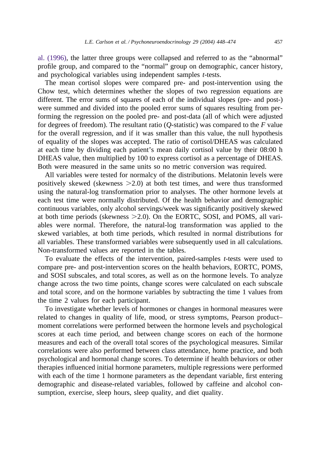[al. \(1996\),](#page-26-0) the latter three groups were collapsed and referred to as the "abnormal" profile group, and compared to the "normal" group on demographic, cancer history, and psychological variables using independent samples *t*-tests.

The mean cortisol slopes were compared pre- and post-intervention using the Chow test, which determines whether the slopes of two regression equations are different. The error sums of squares of each of the individual slopes (pre- and post-) were summed and divided into the pooled error sums of squares resulting from performing the regression on the pooled pre- and post-data (all of which were adjusted for degrees of freedom). The resultant ratio (*Q*-statistic) was compared to the *F* value for the overall regression, and if it was smaller than this value, the null hypothesis of equality of the slopes was accepted. The ratio of cortisol/DHEAS was calculated at each time by dividing each patient's mean daily cortisol value by their 08:00 h DHEAS value, then multiplied by 100 to express cortisol as a percentage of DHEAS. Both were measured in the same units so no metric conversion was required.

All variables were tested for normalcy of the distributions. Melatonin levels were positively skewed (skewness -2.0) at both test times, and were thus transformed using the natural-log transformation prior to analyses. The other hormone levels at each test time were normally distributed. Of the health behavior and demographic continuous variables, only alcohol servings/week was significantly positively skewed at both time periods (skewness  $>2.0$ ). On the EORTC, SOSI, and POMS, all variables were normal. Therefore, the natural-log transformation was applied to the skewed variables, at both time periods, which resulted in normal distributions for all variables. These transformed variables were subsequently used in all calculations. Non-transformed values are reported in the tables.

To evaluate the effects of the intervention, paired-samples *t*-tests were used to compare pre- and post-intervention scores on the health behaviors, EORTC, POMS, and SOSI subscales, and total scores, as well as on the hormone levels. To analyze change across the two time points, change scores were calculated on each subscale and total score, and on the hormone variables by subtracting the time 1 values from the time 2 values for each participant.

To investigate whether levels of hormones or changes in hormonal measures were related to changes in quality of life, mood, or stress symptoms, Pearson product– moment correlations were performed between the hormone levels and psychological scores at each time period, and between change scores on each of the hormone measures and each of the overall total scores of the psychological measures. Similar correlations were also performed between class attendance, home practice, and both psychological and hormonal change scores. To determine if health behaviors or other therapies influenced initial hormone parameters, multiple regressions were performed with each of the time 1 hormone parameters as the dependant variable, first entering demographic and disease-related variables, followed by caffeine and alcohol consumption, exercise, sleep hours, sleep quality, and diet quality.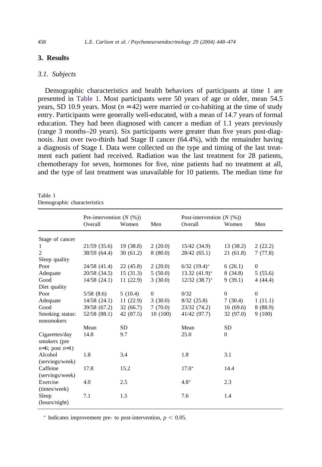## **3. Results**

## *3.1. Subjects*

Demographic characteristics and health behaviors of participants at time 1 are presented in Table 1. Most participants were 50 years of age or older, mean 54.5 years, SD 10.9 years. Most  $(n = 42)$  were married or co-habiting at the time of study entry. Participants were generally well-educated, with a mean of 14.7 years of formal education. They had been diagnosed with cancer a median of 1.1 years previously (range 3 months–20 years). Six participants were greater than five years post-diagnosis. Just over two-thirds had Stage II cancer (64.4%), with the remainder having a diagnosis of Stage I. Data were collected on the type and timing of the last treatment each patient had received. Radiation was the last treatment for 28 patients, chemotherapy for seven, hormones for five, nine patients had no treatment at all, and the type of last treatment was unavailable for 10 patients. The median time for

Table 1 Demographic characteristics

|                                        | Pre-intervention $(N$ (%))<br>Overall | Men<br>Women |              | Post-intervention $(N$ (%))<br>Overall | Men          |              |
|----------------------------------------|---------------------------------------|--------------|--------------|----------------------------------------|--------------|--------------|
|                                        |                                       |              |              |                                        | Women        |              |
| Stage of cancer                        |                                       |              |              |                                        |              |              |
| 1                                      | 21/59(35.6)                           | 19(38.8)     | 2(20.0)      | 15/42 (34.9)                           | 13 (38.2)    | 2(22.2)      |
| 2                                      | 38/59 (64.4)                          | 30(61.2)     | 8(80.0)      | 28/42 (65.1)                           | 21(61.8)     | 7(77.8)      |
| Sleep quality                          |                                       |              |              |                                        |              |              |
| Poor                                   | 24/58 (41.4)                          | 22(45.8)     | 2(20.0)      | $6/32$ $(19.4)^*$                      | 6(26.1)      | $\mathbf{0}$ |
| Adequate                               | 20/58 (34.5)                          | 15(31.3)     | 5(50.0)      | $13.32 (41.9)^*$                       | 8(34.8)      | 5(55.6)      |
| Good                                   | 14/58(24.1)                           | 11(22.9)     | 3(30.0)      | $12/32$ $(38.7)^*$                     | 9(39.1)      | 4(44.4)      |
| Diet quality                           |                                       |              |              |                                        |              |              |
| Poor                                   | 5/58(8.6)                             | 5(10.4)      | $\mathbf{0}$ | 0/32                                   | $\mathbf{0}$ | $\Omega$     |
| Adequate                               | 14/58(24.1)                           | 11(22.9)     | 3(30.0)      | 8/32(25.8)                             | 7(30.4)      | 1(11.1)      |
| Good                                   | 39/58 (67.2)                          | 32(66.7)     | 7(70.0)      | 23/32 (74.2)                           | 16(69.6)     | 8(88.9)      |
| Smoking status:                        | 52/58 (88.1)                          | 42 (87.5)    | 10(100)      | 41/42 (97.7)                           | 32 (97.0)    | 9(100)       |
| nonsmokers                             |                                       |              |              |                                        |              |              |
|                                        | Mean                                  | <b>SD</b>    |              | Mean                                   | <b>SD</b>    |              |
| Cigarettes/day                         | 14.8                                  | 9.7          |              | 25.0                                   | $\mathbf{0}$ |              |
| smokers (pre                           |                                       |              |              |                                        |              |              |
| $n=6$ ; post $n=1$ )                   |                                       |              |              |                                        |              |              |
| Alcohol                                | 1.8                                   | 3.4          |              | 1.8                                    | 3.1          |              |
| (servings/week)                        |                                       |              |              |                                        |              |              |
| Caffeine                               | 17.8                                  | 15.2         |              | $17.0*$                                | 14.4         |              |
| (servings/week)                        |                                       |              |              |                                        |              |              |
| Exercise                               | 4.0                                   | 2.5          |              | $4.8*$                                 | 2.3          |              |
| (times/week)<br>Sleep<br>(hours/night) | 7.1                                   | 1.5          |              | 7.6                                    | 1.4          |              |

 $*$  Indicates improvement pre- to post-intervention,  $p < 0.05$ .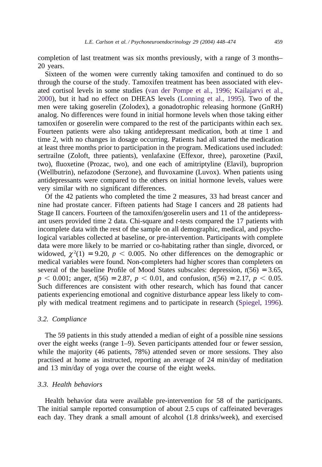completion of last treatment was six months previously, with a range of 3 months– 20 years.

Sixteen of the women were currently taking tamoxifen and continued to do so through the course of the study. Tamoxifen treatment has been associated with elevated cortisol levels in some studies [\(van der Pompe et al., 1996; Kailajarvi et al.,](#page-26-0) [2000\)](#page-26-0), but it had no effect on DHEAS levels [\(Lonning et al., 1995\)](#page-24-0). Two of the men were taking goserelin (Zolodex), a gonadotrophic releasing hormone (GnRH) analog. No differences were found in initial hormone levels when those taking either tamoxifen or goserelin were compared to the rest of the participants within each sex. Fourteen patients were also taking antidepressant medication, both at time 1 and time 2, with no changes in dosage occurring. Patients had all started the medication at least three months prior to participation in the program. Medications used included: sertrailne (Zoloft, three patients), venlafaxine (Effexor, three), paroxetine (Paxil, two), fluoxetine (Prozac, two), and one each of amitriptyline (Elavil), buproprion (Wellbutrin), nefazodone (Serzone), and fluvoxamine (Luvox). When patients using antidepressants were compared to the others on initial hormone levels, values were very similar with no significant differences.

Of the 42 patients who completed the time 2 measures, 33 had breast cancer and nine had prostate cancer. Fifteen patients had Stage I cancers and 28 patients had Stage II cancers. Fourteen of the tamoxifen/goserelin users and 11 of the antidepressant users provided time 2 data. Chi-square and *t*-tests compared the 17 patients with incomplete data with the rest of the sample on all demographic, medical, and psychological variables collected at baseline, or pre-intervention. Participants with complete data were more likely to be married or co-habitating rather than single, divorced, or widowed,  $\chi^2(1) = 9.20$ ,  $p < 0.005$ . No other differences on the demographic or medical variables were found. Non-completers had higher scores than completers on several of the baseline Profile of Mood States subscales: depression,  $t(56) = 3.65$ ,  $p < 0.001$ ; anger,  $t(56) = 2.87$ ,  $p < 0.01$ , and confusion,  $t(56) = 2.17$ ,  $p < 0.05$ . Such differences are consistent with other research, which has found that cancer patients experiencing emotional and cognitive disturbance appear less likely to comply with medical treatment regimens and to participate in research [\(Spiegel, 1996\)](#page-25-0).

## *3.2. Compliance*

The 59 patients in this study attended a median of eight of a possible nine sessions over the eight weeks (range 1–9). Seven participants attended four or fewer session, while the majority (46 patients, 78%) attended seven or more sessions. They also practised at home as instructed, reporting an average of 24 min/day of meditation and 13 min/day of yoga over the course of the eight weeks.

## *3.3. Health behaviors*

Health behavior data were available pre-intervention for 58 of the participants. The initial sample reported consumption of about 2.5 cups of caffeinated beverages each day. They drank a small amount of alcohol (1.8 drinks/week), and exercised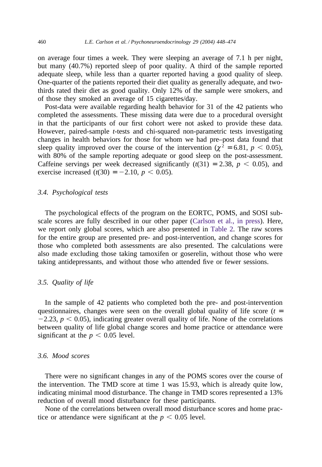on average four times a week. They were sleeping an average of 7.1 h per night, but many (40.7%) reported sleep of poor quality. A third of the sample reported adequate sleep, while less than a quarter reported having a good quality of sleep. One-quarter of the patients reported their diet quality as generally adequate, and twothirds rated their diet as good quality. Only 12% of the sample were smokers, and of those they smoked an average of 15 cigarettes/day.

Post-data were available regarding health behavior for 31 of the 42 patients who completed the assessments. These missing data were due to a procedural oversight in that the participants of our first cohort were not asked to provide these data. However, paired-sample *t*-tests and chi-squared non-parametric tests investigating changes in health behaviors for those for whom we had pre–post data found that sleep quality improved over the course of the intervention ( $\chi^2 = 6.81$ ,  $p < 0.05$ ), with 80% of the sample reporting adequate or good sleep on the post-assessment. Caffeine servings per week decreased significantly  $(t(31) = 2.38, p \le 0.05)$ , and exercise increased  $(t(30) = -2.10, p < 0.05)$ .

## *3.4. Psychological tests*

The psychological effects of the program on the EORTC, POMS, and SOSI subscale scores are fully described in our other paper [\(Carlson et al., in press\)](#page-22-0). Here, we report only global scores, which are also presented in [Table 2.](#page-13-0) The raw scores for the entire group are presented pre- and post-intervention, and change scores for those who completed both assessments are also presented. The calculations were also made excluding those taking tamoxifen or goserelin, without those who were taking antidepressants, and without those who attended five or fewer sessions.

## *3.5. Quality of life*

In the sample of 42 patients who completed both the pre- and post-intervention questionnaires, changes were seen on the overall global quality of life score  $(t =$  $-2.23$ ,  $p < 0.05$ ), indicating greater overall quality of life. None of the correlations between quality of life global change scores and home practice or attendance were significant at the  $p < 0.05$  level.

#### *3.6. Mood scores*

There were no significant changes in any of the POMS scores over the course of the intervention. The TMD score at time 1 was 15.93, which is already quite low, indicating minimal mood disturbance. The change in TMD scores represented a 13% reduction of overall mood disturbance for these participants.

None of the correlations between overall mood disturbance scores and home practice or attendance were significant at the  $p < 0.05$  level.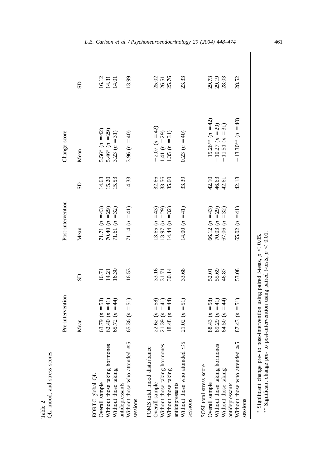<span id="page-13-0"></span>

|                                                          | Pre-intervention                         |                         | Post-intervention                                        |                               | Change score                                            |                                                        |
|----------------------------------------------------------|------------------------------------------|-------------------------|----------------------------------------------------------|-------------------------------|---------------------------------------------------------|--------------------------------------------------------|
|                                                          | Mean                                     | $\overline{\text{SD}}$  | Mean                                                     | <b>GS</b>                     | Mean                                                    | <b>GS</b>                                              |
| EORTC global QL                                          | $63.79 (n = 58)$                         | 16.71                   |                                                          |                               |                                                         |                                                        |
| Overall sample<br>Without those taking hormones          | $\frac{1}{4}$                            | 14.21                   | 71.71 $(n = 43)$<br>70.40 $(n = 29)$<br>71.61 $(n = 32)$ | 14.68<br>15.53<br>15.53       | 5.56* $(n = 42)$<br>5.46* $(n = 29)$<br>3.23 $(n = 31)$ | $\begin{array}{c} 16.12 \\ 14.31 \\ 14.01 \end{array}$ |
| Without those taking                                     | 44)<br>$62.40 (n = 4$<br>$65.72 (n = 4)$ | 16.30                   |                                                          |                               |                                                         |                                                        |
| antide<br>pressants $\text{Without } \leq 5$<br>sessions | 51)<br>65.36 $(n =$                      | 16.53                   | 71.14 $(n = 41)$                                         | 14.33                         | 3.96 $(n = 40)$                                         | 13.99                                                  |
| POMS total mood disturbance                              |                                          |                         |                                                          |                               |                                                         |                                                        |
| Overall sample                                           | $22.62 (n = 58)$                         |                         |                                                          |                               | $-2.07(n = 42)$                                         |                                                        |
| Without those taking hormones                            | $\frac{41}{3}$<br>$21.39 (n =$           | 33.16<br>31.71<br>30.14 |                                                          | 32.56<br>33.56<br>35.60       | 1.41 $(n = 29)$                                         |                                                        |
| Without those taking<br>antidepressants                  | $\overline{4}$<br>$18.48(n =$            |                         | 13.65 $(n = 43)$<br>13.97 $(n = 29)$<br>14.44 $(n = 32)$ |                               | $(.35 (n = 31))$                                        | 25.02<br>26.51<br>25.76                                |
| Without those who attended $\leq$ 5<br>sessions          | 51)<br>$21.02(n =$                       | 33.68                   | $14.00(n = 41)$                                          | 33.39                         | $0.23(n = 40)$                                          | 23.33                                                  |
| SOSI total stress score                                  |                                          |                         |                                                          |                               |                                                         |                                                        |
| Overall sample                                           | $88.43(n = 58)$                          |                         |                                                          |                               | $-15.26** (n = 42)$                                     |                                                        |
| Without those taking hormones                            | $\frac{1}{4}$<br>$89.29(n =$             | 52.01<br>55.69<br>46.87 |                                                          | $42.10$<br>$46.63$<br>$42.61$ |                                                         | 29.73<br>29.19<br>28.03                                |
| Without those taking<br>antidepressants                  | $\overline{4}$<br>84.50 $(n =$           |                         | 66.12 $(n = 43)$<br>70.03 $(n = 29)$<br>67.06 $(n = 32)$ |                               | $-10.27 (n = 29)$<br>-11.51 ( $n = 31$ )                |                                                        |
| Without those who attended $\leq$ 5<br>sessions          | $87.43 (n = 51)$                         | 53.08                   | 65.02 $(n = 41)$                                         | 42.18                         | $-13.30** (n = 40)$                                     | 28.52                                                  |
|                                                          |                                          |                         |                                                          |                               |                                                         |                                                        |

Significant change pre- to post-intervention using paired *t*-tests,

∗∗ Significant change pre- to post-intervention using paired *t*-tests,

*p*  $p < 0.05.$ <br> $p < 0.01$ 

 $< 0.01$ .

Table 2<br>QL, mood, and stress scores QL, mood, and stress scores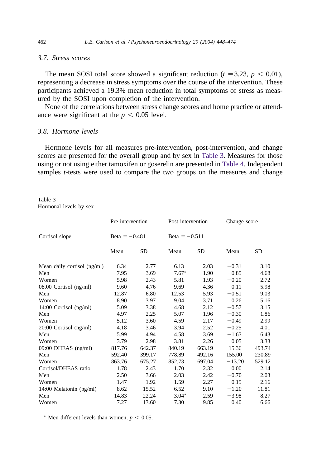## *3.7. Stress scores*

The mean SOSI total score showed a significant reduction ( $t = 3.23$ ,  $p < 0.01$ ), representing a decrease in stress symptoms over the course of the intervention. These participants achieved a 19.3% mean reduction in total symptoms of stress as measured by the SOSI upon completion of the intervention.

None of the correlations between stress change scores and home practice or attendance were significant at the  $p < 0.05$  level.

## *3.8. Hormone levels*

Hormone levels for all measures pre-intervention, post-intervention, and change scores are presented for the overall group and by sex in Table 3. Measures for those using or not using either tamoxifen or goserelin are presented in [Table 4.](#page-15-0) Independent samples *t*-tests were used to compare the two groups on the measures and change

| Table 3                |  |  |
|------------------------|--|--|
| Hormonal levels by sex |  |  |

|                             | Pre-intervention |           | Post-intervention |                 | Change score |           |
|-----------------------------|------------------|-----------|-------------------|-----------------|--------------|-----------|
| Cortisol slope              | $Beta = -0.481$  |           |                   | $Beta = -0.511$ |              |           |
|                             | Mean             | <b>SD</b> | Mean              | <b>SD</b>       | Mean         | <b>SD</b> |
| Mean daily cortisol (ng/ml) | 6.34             | 2.77      | 6.13              | 2.03            | $-0.31$      | 3.10      |
| Men                         | 7.95             | 3.69      | $7.67*$           | 1.90            | $-0.85$      | 4.68      |
| Women                       | 5.98             | 2.43      | 5.81              | 1.93            | $-0.20$      | 2.72      |
| $08.00$ Cortisol (ng/ml)    | 9.60             | 4.76      | 9.69              | 4.36            | 0.11         | 5.98      |
| Men                         | 12.87            | 6.80      | 12.53             | 5.93            | $-0.51$      | 9.03      |
| Women                       | 8.90             | 3.97      | 9.04              | 3.71            | 0.26         | 5.16      |
| $14:00$ Cortisol (ng/ml)    | 5.09             | 3.38      | 4.68              | 2.12            | $-0.57$      | 3.15      |
| Men                         | 4.97             | 2.25      | 5.07              | 1.96            | $-0.30$      | 1.86      |
| Women                       | 5.12             | 3.60      | 4.59              | 2.17            | $-0.49$      | 2.99      |
| $20:00$ Cortisol (ng/ml)    | 4.18             | 3.46      | 3.94              | 2.52            | $-0.25$      | 4.01      |
| Men                         | 5.99             | 4.94      | 4.58              | 3.69            | $-1.63$      | 6.43      |
| Women                       | 3.79             | 2.98      | 3.81              | 2.26            | 0.05         | 3.33      |
| 09:00 DHEAS $(ng/ml)$       | 817.76           | 642.37    | 840.19            | 663.19          | 15.36        | 493.74    |
| Men                         | 592.40           | 399.17    | 778.89            | 492.16          | 155.00       | 230.89    |
| Women                       | 863.76           | 675.27    | 852.73            | 697.04          | $-13.20$     | 529.12    |
| Cortisol/DHEAS ratio        | 1.78             | 2.43      | 1.70              | 2.32            | 0.00         | 2.14      |
| Men                         | 2.50             | 3.66      | 2.03              | 2.42            | $-0.70$      | 2.03      |
| Women                       | 1.47             | 1.92      | 1.59              | 2.27            | 0.15         | 2.16      |
| 14:00 Melatonin $(pg/ml)$   | 8.62             | 15.52     | 6.52              | 9.10            | $-1.20$      | 11.81     |
| Men                         | 14.83            | 22.24     | $3.04*$           | 2.59            | $-3.98$      | 8.27      |
| Women                       | 7.27             | 13.60     | 7.30              | 9.85            | 0.40         | 6.66      |

 $*$  Men different levels than women,  $p < 0.05$ .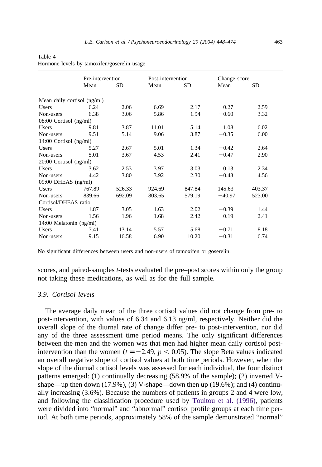|                             |        | Pre-intervention |        | Post-intervention |          | Change score |
|-----------------------------|--------|------------------|--------|-------------------|----------|--------------|
|                             | Mean   | <b>SD</b>        | Mean   | SD                | Mean     | SD           |
| Mean daily cortisol (ng/ml) |        |                  |        |                   |          |              |
| <b>Users</b>                | 6.24   | 2.06             | 6.69   | 2.17              | 0.27     | 2.59         |
| Non-users                   | 6.38   | 3.06             | 5.86   | 1.94              | $-0.60$  | 3.32         |
| $08:00$ Cortisol (ng/ml)    |        |                  |        |                   |          |              |
| <b>Users</b>                | 9.81   | 3.87             | 11.01  | 5.14              | 1.08     | 6.02         |
| Non-users                   | 9.51   | 5.14             | 9.06   | 3.87              | $-0.35$  | 6.00         |
| 14:00 Cortisol $(ng/ml)$    |        |                  |        |                   |          |              |
| <b>Users</b>                | 5.27   | 2.67             | 5.01   | 1.34              | $-0.42$  | 2.64         |
| Non-users                   | 5.01   | 3.67             | 4.53   | 2.41              | $-0.47$  | 2.90         |
| 20:00 Cortisol (ng/ml)      |        |                  |        |                   |          |              |
| <b>Users</b>                | 3.62   | 2.53             | 3.97   | 3.03              | 0.13     | 2.34         |
| Non-users                   | 4.42   | 3.80             | 3.92   | 2.30              | $-0.43$  | 4.56         |
| $09:00$ DHEAS $(ng/ml)$     |        |                  |        |                   |          |              |
| <b>Users</b>                | 767.89 | 526.33           | 924.69 | 847.84            | 145.63   | 403.37       |
| Non-users                   | 839.66 | 692.09           | 803.65 | 579.19            | $-40.97$ | 523.00       |
| Cortisol/DHEAS ratio        |        |                  |        |                   |          |              |
| <b>Users</b>                | 1.87   | 3.05             | 1.63   | 2.02              | $-0.39$  | 1.44         |
| Non-users                   | 1.56   | 1.96             | 1.68   | 2.42              | 0.19     | 2.41         |
| 14:00 Melatonin ( $pg/ml$ ) |        |                  |        |                   |          |              |
| <b>Users</b>                | 7.41   | 13.14            | 5.57   | 5.68              | $-0.71$  | 8.18         |
| Non-users                   | 9.15   | 16.58            | 6.90   | 10.20             | $-0.31$  | 6.74         |

<span id="page-15-0"></span>Table 4 Hormone levels by tamoxifen/goserelin usage

No significant differences between users and non-users of tamoxifen or goserelin.

scores, and paired-samples *t*-tests evaluated the pre–post scores within only the group not taking these medications, as well as for the full sample.

## *3.9. Cortisol levels*

The average daily mean of the three cortisol values did not change from pre- to post-intervention, with values of 6.34 and 6.13 ng/ml, respectively. Neither did the overall slope of the diurnal rate of change differ pre- to post-intervention, nor did any of the three assessment time period means. The only significant differences between the men and the women was that men had higher mean daily cortisol postintervention than the women ( $t = -2.49$ ,  $p < 0.05$ ). The slope Beta values indicated an overall negative slope of cortisol values at both time periods. However, when the slope of the diurnal cortisol levels was assessed for each individual, the four distinct patterns emerged: (1) continually decreasing (58.9% of the sample); (2) inverted Vshape—up then down  $(17.9\%)$ ,  $(3)$  V-shape—down then up  $(19.6\%)$ ; and  $(4)$  continually increasing (3.6%). Because the numbers of patients in groups 2 and 4 were low, and following the classification procedure used by [Touitou et al. \(1996\),](#page-26-0) patients were divided into "normal" and "abnormal" cortisol profile groups at each time period. At both time periods, approximately 58% of the sample demonstrated "normal"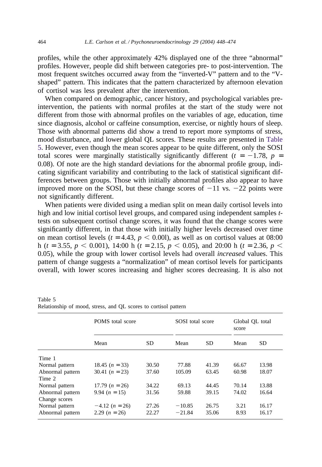profiles, while the other approximately 42% displayed one of the three "abnormal" profiles. However, people did shift between categories pre- to post-intervention. The most frequent switches occurred away from the "inverted-V" pattern and to the "Vshaped" pattern. This indicates that the pattern characterized by afternoon elevation of cortisol was less prevalent after the intervention.

When compared on demographic, cancer history, and psychological variables preintervention, the patients with normal profiles at the start of the study were not different from those with abnormal profiles on the variables of age, education, time since diagnosis, alcohol or caffeine consumption, exercise, or nightly hours of sleep. Those with abnormal patterns did show a trend to report more symptoms of stress, mood disturbance, and lower global QL scores. These results are presented in Table 5. However, even though the mean scores appear to be quite different, only the SOSI total scores were marginally statistically significantly different  $(t = -1.78, p =$ 0.08). Of note are the high standard deviations for the abnormal profile group, indicating significant variability and contributing to the lack of statistical significant differences between groups. Those with initially abnormal profiles also appear to have improved more on the SOSI, but these change scores of  $-11$  vs.  $-22$  points were not significantly different.

When patients were divided using a median split on mean daily cortisol levels into high and low initial cortisol level groups, and compared using independent samples *t*tests on subsequent cortisol change scores, it was found that the change scores were significantly different, in that those with initially higher levels decreased over time on mean cortisol levels  $(t = 4.43, p < 0.001)$ , as well as on cortisol values at 08:00 h ( $t = 3.55$ ,  $p < 0.001$ ), 14:00 h ( $t = 2.15$ ,  $p < 0.05$ ), and 20:00 h ( $t = 2.36$ ,  $p <$ 0.05), while the group with lower cortisol levels had overall *increased* values. This pattern of change suggests a "normalization" of mean cortisol levels for participants overall, with lower scores increasing and higher scores decreasing. It is also not

|                  | POMS total score |       |          | SOSI total score |       | Global OL total<br>score |  |
|------------------|------------------|-------|----------|------------------|-------|--------------------------|--|
|                  | Mean             | SD    | Mean     | <b>SD</b>        | Mean  | SD                       |  |
| Time 1           |                  |       |          |                  |       |                          |  |
| Normal pattern   | 18.45 $(n = 33)$ | 30.50 | 77.88    | 41.39            | 66.67 | 13.98                    |  |
| Abnormal pattern | 30.41 $(n = 23)$ | 37.60 | 105.09   | 63.45            | 60.98 | 18.07                    |  |
| Time 2           |                  |       |          |                  |       |                          |  |
| Normal pattern   | 17.79 $(n = 26)$ | 34.22 | 69.13    | 44.45            | 70.14 | 13.88                    |  |
| Abnormal pattern | 9.94 $(n = 15)$  | 31.56 | 59.88    | 39.15            | 74.02 | 16.64                    |  |
| Change scores    |                  |       |          |                  |       |                          |  |
| Normal pattern   | $-4.12(n = 26)$  | 27.26 | $-10.85$ | 26.75            | 3.21  | 16.17                    |  |
| Abnormal pattern | 2.29 $(n = 26)$  | 22.27 | $-21.84$ | 35.06            | 8.93  | 16.17                    |  |

Table 5 Relationship of mood, stress, and QL scores to cortisol pattern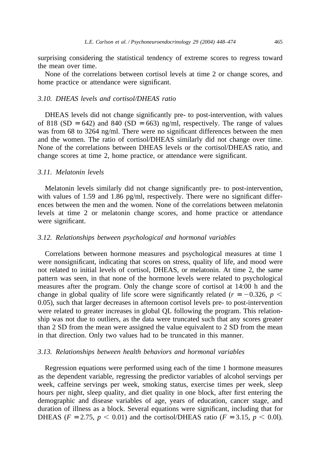surprising considering the statistical tendency of extreme scores to regress toward the mean over time.

None of the correlations between cortisol levels at time 2 or change scores, and home practice or attendance were significant.

## *3.10. DHEAS levels and cortisol/DHEAS ratio*

DHEAS levels did not change significantly pre- to post-intervention, with values of 818 (SD = 642) and 840 (SD = 663) ng/ml, respectively. The range of values was from 68 to 3264 ng/ml. There were no significant differences between the men and the women. The ratio of cortisol/DHEAS similarly did not change over time. None of the correlations between DHEAS levels or the cortisol/DHEAS ratio, and change scores at time 2, home practice, or attendance were significant.

#### *3.11. Melatonin levels*

Melatonin levels similarly did not change significantly pre- to post-intervention, with values of 1.59 and 1.86 pg/ml, respectively. There were no significant differences between the men and the women. None of the correlations between melatonin levels at time 2 or melatonin change scores, and home practice or attendance were significant.

## *3.12. Relationships between psychological and hormonal variables*

Correlations between hormone measures and psychological measures at time 1 were nonsignificant, indicating that scores on stress, quality of life, and mood were not related to initial levels of cortisol, DHEAS, or melatonin. At time 2, the same pattern was seen, in that none of the hormone levels were related to psychological measures after the program. Only the change score of cortisol at 14:00 h and the change in global quality of life score were significantly related ( $r = -0.326$ ,  $p <$ 0.05), such that larger decreases in afternoon cortisol levels pre- to post-intervention were related to greater increases in global QL following the program. This relationship was not due to outliers, as the data were truncated such that any scores greater than 2 SD from the mean were assigned the value equivalent to 2 SD from the mean in that direction. Only two values had to be truncated in this manner.

#### *3.13. Relationships between health behaviors and hormonal variables*

Regression equations were performed using each of the time 1 hormone measures as the dependent variable, regressing the predictor variables of alcohol servings per week, caffeine servings per week, smoking status, exercise times per week, sleep hours per night, sleep quality, and diet quality in one block, after first entering the demographic and disease variables of age, years of education, cancer stage, and duration of illness as a block. Several equations were significant, including that for DHEAS ( $F = 2.75$ ,  $p < 0.01$ ) and the cortisol/DHEAS ratio ( $F = 3.15$ ,  $p < 0.01$ ).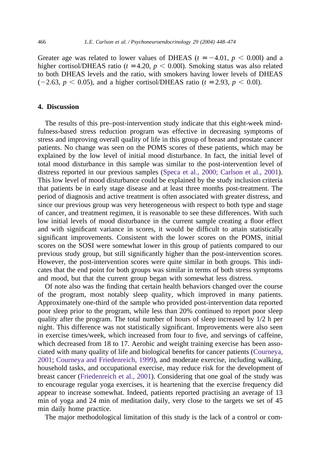Greater age was related to lower values of DHEAS ( $t = -4.01$ ,  $p \le 0.001$ ) and a higher cortisol/DHEAS ratio ( $t = 4.20$ ,  $p < 0.001$ ). Smoking status was also related to both DHEAS levels and the ratio, with smokers having lower levels of DHEAS  $(-2.63, p < 0.05)$ , and a higher cortisol/DHEAS ratio (*t* = 2.93, *p* < 0.01).

## **4. Discussion**

The results of this pre–post-intervention study indicate that this eight-week mindfulness-based stress reduction program was effective in decreasing symptoms of stress and improving overall quality of life in this group of breast and prostate cancer patients. No change was seen on the POMS scores of these patients, which may be explained by the low level of initial mood disturbance. In fact, the initial level of total mood disturbance in this sample was similar to the post-intervention level of distress reported in our previous samples [\(Speca et al., 2000; Carlson et al., 2001\)](#page-25-0). This low level of mood disturbance could be explained by the study inclusion criteria that patients be in early stage disease and at least three months post-treatment. The period of diagnosis and active treatment is often associated with greater distress, and since our previous group was very heterogeneous with respect to both type and stage of cancer, and treatment regimen, it is reasonable to see these differences. With such low initial levels of mood disturbance in the current sample creating a floor effect and with significant variance in scores, it would be difficult to attain statistically significant improvements. Consistent with the lower scores on the POMS, initial scores on the SOSI were somewhat lower in this group of patients compared to our previous study group, but still significantly higher than the post-intervention scores. However, the post-intervention scores were quite similar in both groups. This indicates that the end point for both groups was similar in terms of both stress symptoms and mood, but that the current group began with somewhat less distress.

Of note also was the finding that certain health behaviors changed over the course of the program, most notably sleep quality, which improved in many patients. Approximately one-third of the sample who provided post-intervention data reported poor sleep prior to the program, while less than 20% continued to report poor sleep quality after the program. The total number of hours of sleep increased by 1/2 h per night. This difference was not statistically significant. Improvements were also seen in exercise times/week, which increased from four to five, and servings of caffeine, which decreased from 18 to 17. Aerobic and weight training exercise has been associated with many quality of life and biological benefits for cancer patients [\(Courneya,](#page-23-0) [2001;](#page-23-0) [Courneya and Friedenreich, 1999\)](#page-23-0), and moderate exercise, including walking, household tasks, and occupational exercise, may reduce risk for the development of breast cancer [\(Friedenreich et al., 2001\)](#page-23-0). Considering that one goal of the study was to encourage regular yoga exercises, it is heartening that the exercise frequency did appear to increase somewhat. Indeed, patients reported practising an average of 13 min of yoga and 24 min of meditation daily, very close to the targets we set of 45 min daily home practice.

The major methodological limitation of this study is the lack of a control or com-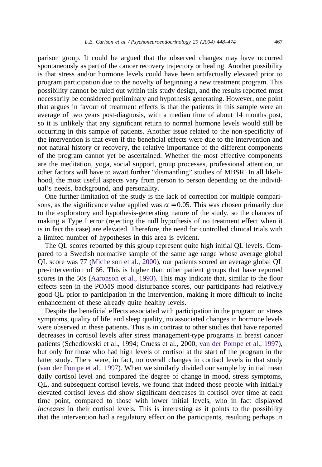parison group. It could be argued that the observed changes may have occurred spontaneously as part of the cancer recovery trajectory or healing. Another possibility is that stress and/or hormone levels could have been artifactually elevated prior to program participation due to the novelty of beginning a new treatment program. This possibility cannot be ruled out within this study design, and the results reported must necessarily be considered preliminary and hypothesis generating. However, one point that argues in favour of treatment effects is that the patients in this sample were an average of two years post-diagnosis, with a median time of about 14 months post, so it is unlikely that any significant return to normal hormone levels would still be occurring in this sample of patients. Another issue related to the non-specificity of the intervention is that even if the beneficial effects were due to the intervention and not natural history or recovery, the relative importance of the different components of the program cannot yet be ascertained. Whether the most effective components are the meditation, yoga, social support, group processes, professional attention, or other factors will have to await further "dismantling" studies of MBSR. In all likelihood, the most useful aspects vary from person to person depending on the individual's needs, background, and personality.

One further limitation of the study is the lack of correction for multiple comparisons, as the significance value applied was  $\alpha = 0.05$ . This was chosen primarily due to the exploratory and hypothesis-generating nature of the study, so the chances of making a Type I error (rejecting the null hypothesis of no treatment effect when it is in fact the case) are elevated. Therefore, the need for controlled clinical trials with a limited number of hypotheses in this area is evident.

The QL scores reported by this group represent quite high initial QL levels. Compared to a Swedish normative sample of the same age range whose average global QL score was 77 [\(Michelson et al., 2000\)](#page-25-0), our patients scored an average global QL pre-intervention of 66. This is higher than other patient groups that have reported scores in the 50s [\(Aaronson et al., 1993\)](#page-22-0). This may indicate that, similar to the floor effects seen in the POMS mood disturbance scores, our participants had relatively good QL prior to participation in the intervention, making it more difficult to incite enhancement of these already quite healthy levels.

Despite the beneficial effects associated with participation in the program on stress symptoms, quality of life, and sleep quality, no associated changes in hormone levels were observed in these patients. This is in contrast to other studies that have reported decreases in cortisol levels after stress management-type programs in breast cancer patients (Schedlowski et al., 1994; Cruess et al., 2000; [van der Pompe et al., 1997\)](#page-26-0), but only for those who had high levels of cortisol at the start of the program in the latter study. There were, in fact, no overall changes in cortisol levels in that study [\(van der Pompe et al., 1997\)](#page-26-0). When we similarly divided our sample by initial mean daily cortisol level and compared the degree of change in mood, stress symptoms, QL, and subsequent cortisol levels, we found that indeed those people with initially elevated cortisol levels did show significant decreases in cortisol over time at each time point, compared to those with lower initial levels, who in fact displayed *increases* in their cortisol levels. This is interesting as it points to the possibility that the intervention had a regulatory effect on the participants, resulting perhaps in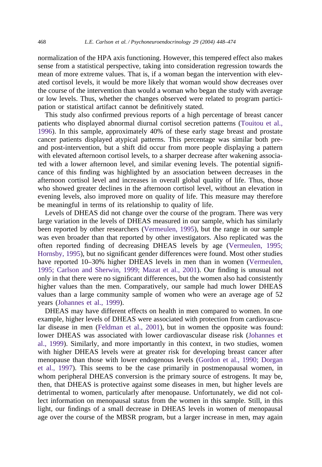normalization of the HPA axis functioning. However, this tempered effect also makes sense from a statistical perspective, taking into consideration regression towards the mean of more extreme values. That is, if a woman began the intervention with elevated cortisol levels, it would be more likely that woman would show decreases over the course of the intervention than would a woman who began the study with average or low levels. Thus, whether the changes observed were related to program participation or statistical artifact cannot be definitively stated.

This study also confirmed previous reports of a high percentage of breast cancer patients who displayed abnormal diurnal cortisol secretion patterns [\(Touitou et al.,](#page-26-0) [1996\)](#page-26-0). In this sample, approximately 40% of these early stage breast and prostate cancer patients displayed atypical patterns. This percentage was similar both preand post-intervention, but a shift did occur from more people displaying a pattern with elevated afternoon cortisol levels, to a sharper decrease after wakening associated with a lower afternoon level, and similar evening levels. The potential significance of this finding was highlighted by an association between decreases in the afternoon cortisol level and increases in overall global quality of life. Thus, those who showed greater declines in the afternoon cortisol level, without an elevation in evening levels, also improved more on quality of life. This measure may therefore be meaningful in terms of its relationship to quality of life.

Levels of DHEAS did not change over the course of the program. There was very large variation in the levels of DHEAS measured in our sample, which has similarly been reported by other researchers [\(Vermeulen, 1995\)](#page-26-0), but the range in our sample was even broader than that reported by other investigators. Also replicated was the often reported finding of decreasing DHEAS levels by age [\(Vermeulen, 1995;](#page-26-0) [Hornsby, 1995\)](#page-26-0), but no significant gender differences were found. Most other studies have reported 10–30% higher DHEAS levels in men than in women [\(Vermeulen,](#page-26-0) [1995; Carlson and Sherwin, 1999; Mazat et al., 2001\)](#page-26-0). Our finding is unusual not only in that there were no significant differences, but the women also had consistently higher values than the men. Comparatively, our sample had much lower DHEAS values than a large community sample of women who were an average age of 52 years [\(Johannes et al., 1999\)](#page-23-0).

DHEAS may have different effects on health in men compared to women. In one example, higher levels of DHEAS were associated with protection from cardiovascular disease in men [\(Feldman et al., 2001\)](#page-23-0), but in women the opposite was found: lower DHEAS was associated with lower cardiovascular disease risk [\(Johannes et](#page-23-0) [al., 1999\)](#page-23-0). Similarly, and more importantly in this context, in two studies, women with higher DHEAS levels were at greater risk for developing breast cancer after menopause than those with lower endogenous levels [\(Gordon et al., 1990; Dorgan](#page-23-0) [et al., 1997\)](#page-23-0). This seems to be the case primarily in postmenopausal women, in whom peripheral DHEAS conversion is the primary source of estrogens. It may be, then, that DHEAS is protective against some diseases in men, but higher levels are detrimental to women, particularly after menopause. Unfortunately, we did not collect information on menopausal status from the women in this sample. Still, in this light, our findings of a small decrease in DHEAS levels in women of menopausal age over the course of the MBSR program, but a larger increase in men, may again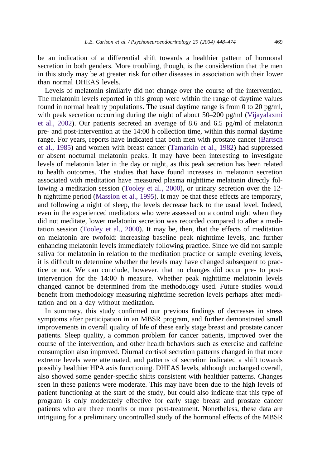be an indication of a differential shift towards a healthier pattern of hormonal secretion in both genders. More troubling, though, is the consideration that the men in this study may be at greater risk for other diseases in association with their lower than normal DHEAS levels.

Levels of melatonin similarly did not change over the course of the intervention. The melatonin levels reported in this group were within the range of daytime values found in normal healthy populations. The usual daytime range is from 0 to 20 pg/ml, with peak secretion occurring during the night of about 50–200 pg/ml [\(Vijayalaxmi](#page-26-0) [et al., 2002\)](#page-26-0). Our patients secreted an average of 8.6 and 6.5 pg/ml of melatonin pre- and post-intervention at the 14:00 h collection time, within this normal daytime range. For years, reports have indicated that both men with prostate cancer [\(Bartsch](#page-22-0) [et al., 1985\)](#page-22-0) and women with breast cancer [\(Tamarkin et al., 1982\)](#page-25-0) had suppressed or absent nocturnal melatonin peaks. It may have been interesting to investigate levels of melatonin later in the day or night, as this peak secretion has been related to health outcomes. The studies that have found increases in melatonin secretion associated with meditation have measured plasma nighttime melatonin directly following a meditation session [\(Tooley et al., 2000\)](#page-26-0), or urinary secretion over the 12 h nighttime period [\(Massion et al., 1995\)](#page-24-0). It may be that these effects are temporary, and following a night of sleep, the levels decrease back to the usual level. Indeed, even in the experienced meditators who were assessed on a control night when they did not meditate, lower melatonin secretion was recorded compared to after a meditation session [\(Tooley et al., 2000\)](#page-26-0). It may be, then, that the effects of meditation on melatonin are twofold: increasing baseline peak nighttime levels, and further enhancing melatonin levels immediately following practice. Since we did not sample saliva for melatonin in relation to the meditation practice or sample evening levels, it is difficult to determine whether the levels may have changed subsequent to practice or not. We can conclude, however, that no changes did occur pre- to postintervention for the 14:00 h measure. Whether peak nighttime melatonin levels changed cannot be determined from the methodology used. Future studies would benefit from methodology measuring nighttime secretion levels perhaps after meditation and on a day without meditation.

In summary, this study confirmed our previous findings of decreases in stress symptoms after participation in an MBSR program, and further demonstrated small improvements in overall quality of life of these early stage breast and prostate cancer patients. Sleep quality, a common problem for cancer patients, improved over the course of the intervention, and other health behaviors such as exercise and caffeine consumption also improved. Diurnal cortisol secretion patterns changed in that more extreme levels were attenuated, and patterns of secretion indicated a shift towards possibly healthier HPA axis functioning. DHEAS levels, although unchanged overall, also showed some gender-specific shifts consistent with healthier patterns. Changes seen in these patients were moderate. This may have been due to the high levels of patient functioning at the start of the study, but could also indicate that this type of program is only moderately effective for early stage breast and prostate cancer patients who are three months or more post-treatment. Nonetheless, these data are intriguing for a preliminary uncontrolled study of the hormonal effects of the MBSR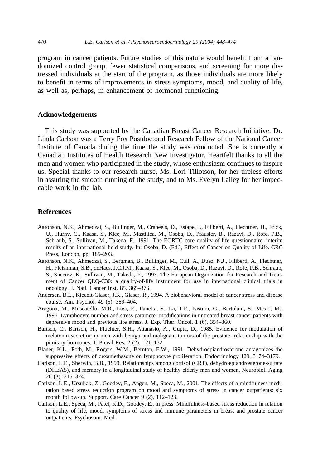<span id="page-22-0"></span>program in cancer patients. Future studies of this nature would benefit from a randomized control group, fewer statistical comparisons, and screening for more distressed individuals at the start of the program, as those individuals are more likely to benefit in terms of improvements in stress symptoms, mood, and quality of life, as well as, perhaps, in enhancement of hormonal functioning.

## **Acknowledgements**

This study was supported by the Canadian Breast Cancer Research Initiative. Dr. Linda Carlson was a Terry Fox Postdoctoral Research Fellow of the National Cancer Institute of Canada during the time the study was conducted. She is currently a Canadian Institutes of Health Research New Investigator. Heartfelt thanks to all the men and women who participated in the study, whose enthusiasm continues to inspire us. Special thanks to our research nurse, Ms. Lori Tillotson, for her tireless efforts in assuring the smooth running of the study, and to Ms. Evelyn Lailey for her impeccable work in the lab.

#### **References**

- Aaronson, N.K., Ahmedzai, S., Bullinger, M., Crabeels, D., Estape, J., Filiberti, A., Flechtner, H., Frick, U., Hurny, C., Kaasa, S., Klee, M., Mastilica, M., Osoba, D., Pfausler, B., Razavi, D., Rofe, P.B., Schraub, S., Sullivan, M., Takeda, F., 1991. The EORTC core quality of life questionnaire: interim results of an international field study. In: Osoba, D. (Ed.), Effect of Cancer on Quality of Life. CRC Press, London, pp. 185–203.
- Aaronson, N.K., Ahmedzai, S., Bergman, B., Bullinger, M., Cull, A., Duez, N.J., Filiberti, A., Flechtner, H., Fleishman, S.B., deHaes, J.C.J.M., Kaasa, S., Klee, M., Osoba, D., Razavi, D., Rofe, P.B., Schraub, S., Sneeuw, K., Sullivan, M., Takeda, F., 1993. The European Organization for Research and Treatment of Cancer QLQ-C30: a quality-of-life instrument for use in international clinical trials in oncology. J. Natl. Cancer Inst. 85, 365–376.
- Andersen, B.L., Kiecolt-Glaser, J.K., Glaser, R., 1994. A biobehavioral model of cancer stress and disease course. Am. Psychol. 49 (5), 389–404.
- Aragona, M., Muscatello, M.R., Losi, E., Panetta, S., La, T.F., Pastura, G., Bertolani, S., Mesiti, M., 1996. Lymphocyte number and stress parameter modifications in untreated breast cancer patients with depressive mood and previous life stress. J. Exp. Ther. Oncol. 1 (6), 354–360.
- Bartsch, C., Bartsch, H., Fluchter, S.H., Attanasio, A., Gupta, D., 1985. Evidence for modulation of melatonin secretion in men with benign and malignant tumors of the prostate: relationship with the pituitary hormones. J. Pineal Res. 2 (2), 121–132.
- Blauer, K.L., Poth, M., Rogers, W.M., Bernton, E.W., 1991. Dehydroepiandrosterone antagonizes the suppressive effects of dexamethasone on lymphocyte proliferation. Endocrinology 129, 3174–3179.
- Carlson, L.E., Sherwin, B.B., 1999. Relationships among cortisol (CRT), dehydroepiandrosterone-sulfate (DHEAS), and memory in a longitudinal study of healthy elderly men and women. Neurobiol. Aging 20 (3), 315–324.
- Carlson, L.E., Ursuliak, Z., Goodey, E., Angen, M., Speca, M., 2001. The effects of a mindfulness meditation based stress reduction program on mood and symptoms of stress in cancer outpatients: six month follow-up. Support. Care Cancer 9 (2), 112–123.
- Carlson, L.E., Speca, M., Patel, K.D., Goodey, E., in press. Mindfulness-based stress reduction in relation to quality of life, mood, symptoms of stress and immune parameters in breast and prostate cancer outpatients. Psychosom. Med.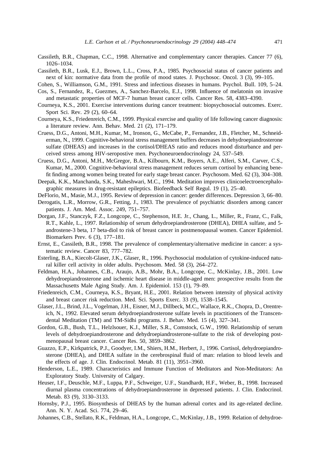- <span id="page-23-0"></span>Cassileth, B.R., Chapman, C.C., 1998. Alternative and complementary cancer therapies. Cancer 77 (6), 1026–1034.
- Cassileth, B.R., Lusk, E.J., Brown, L.L., Cross, P.A., 1985. Psychosocial status of cancer patients and next of kin: normative data from the profile of mood states. J. Psychosoc. Oncol. 3 (3), 99–105.
- Cohen, S., Williamson, G.M., 1991. Stress and infectious diseases in humans. Psychol. Bull. 109, 5–24. Cos, S., Fernandez, R., Guezmes, A., Sanchez-Barcelo, E.J., 1998. Influence of melatonin on invasive
- and metastatic properties of MCF-7 human breast cancer cells. Cancer Res. 58, 4383–4390.
- Courneya, K.S., 2001. Exercise interventions during cancer treatment: biopsychosocial outcomes. Exerc. Sport Sci. Rev. 29 (2), 60–64.
- Courneya, K.S., Friedenreich, C.M., 1999. Physical exercise and quality of life following cancer diagnosis: a literature review. Ann. Behav. Med. 21 (2), 171–179.
- Cruess, D.G., Antoni, M.H., Kumar, M., Ironson, G., McCabe, P., Fernandez, J.B., Fletcher, M., Schneiderman, N., 1999. Cognitive-behavioral stress management buffers decreases in dehydroepiandrosterone sulfate (DHEAS) and increases in the cortisol/DHEAS ratio and reduces mood disturbance and perceived stress among HIV-seropostive men. Psychoneuroendocrinology 24, 537–549.
- Cruess, D.G., Antoni, M.H., McGregor, B.A., Kilbourn, K.M., Boyers, A.E., Alferi, S.M., Carver, C.S., Kumar, M., 2000. Cognitive-behavioral stress management reduces serum cortisol by enhancing benefit finding among women being treated for early stage breast cancer. Psychosom. Med. 62 (3), 304–308.
- Deepak, K.K., Manchanda, S.K., Maheshwari, M.C., 1994. Meditation improves clinicoelectroencephalographic measures in drug-resistant epileptics. Biofeedback Self Regul. 19 (1), 25–40.
- DeFlorio, M., Masie, M.J., 1995. Review of depression in cancer: gender differences. Depression 3, 66–80.
- Derogatis, L.R., Morrow, G.R., Fetting, J., 1983. The prevalence of psychiatric disorders among cancer patients. J. Am. Med. Assoc. 249, 751–757.
- Dorgan, J.F., Stanczyk, F.Z., Longcope, C., Stephenson, H.E. Jr., Chang, L., Miller, R., Franz, C., Falk, R.T., Kahle, L., 1997. Relationship of serum dehydroepiandrosterone (DHEA), DHEA sulfate, and 5 androstene-3 beta, 17 beta-diol to risk of breast cancer in postmenopausal women. Cancer Epidemiol. Biomarkers Prev. 6 (3), 177–181.
- Ernst, E., Cassileth, B.R., 1998. The prevalence of complementary/alternative medicine in cancer: a systematic review. Cancer 83, 777–782.
- Esterling, B.A., Kiecolt-Glaser, J.K., Glaser, R., 1996. Psychosocial modulation of cytokine-induced natural killer cell activity in older adults. Psychosom. Med. 58 (3), 264–272.
- Feldman, H.A., Johannes, C.B., Araujo, A.B., Mohr, B.A., Longcope, C., McKinlay, J.B., 2001. Low dehydroepiandrosterone and ischemic heart disease in middle-aged men: prospective results from the Massachusetts Male Aging Study. Am. J. Epidemiol. 153 (1), 79–89.
- Friedenreich, C.M., Courneya, K.S., Bryant, H.E., 2001. Relation between intensity of physical activity and breast cancer risk reduction. Med. Sci. Sports Exerc. 33 (9), 1538–1545.
- Glaser, J.L., Brind, J.L., Vogelman, J.H., Eisner, M.J., Dillbeck, M.C., Wallace, R.K., Chopra, D., Orentreich, N., 1992. Elevated serum dehydroepiandrosterone sulfate levels in practitioners of the Transcendental Meditation (TM) and TM-Sidhi programs. J. Behav. Med. 15 (4), 327–341.
- Gordon, G.B., Bush, T.L., Helzlsouer, K.J., Miller, S.R., Comstock, G.W., 1990. Relationship of serum levels of dehydroepiandrosterone and dehydroepiandrosterone-sulfate to the risk of developing postmenopausal breast cancer. Cancer Res. 50, 3859–3862.
- Guazzo, E.P., Kirkpatrick, P.J., Goodyer, I.M., Shiers, H.M., Herbert, J., 1996. Cortisol, dehydroepiandrosterone (DHEA), and DHEA sulfate in the cerebrospinal fluid of man: relation to blood levels and the effects of age. J. Clin. Endocrinol. Metab. 81 (11), 3951–3960.
- Henderson, L.E., 1989. Characteristics and Immune Function of Meditators and Non-Meditators: An Exploratory Study. University of Calgary.
- Heuser, I.F., Deuschle, M.F., Luppa, P.F., Schweiger, U.F., Standhardt, H.F., Weber, B., 1998. Increased diurnal plasma concentrations of dehydroepiandrosterone in depressed patients. J. Clin. Endocrinol. Metab. 83 (9), 3130–3133.
- Hornsby, P.J., 1995. Biosynthesis of DHEAS by the human adrenal cortex and its age-related decline. Ann. N. Y. Acad. Sci. 774, 29–46.
- Johannes, C.B., Stellato, R.K., Feldman, H.A., Longcope, C., McKinlay, J.B., 1999. Relation of dehydroe-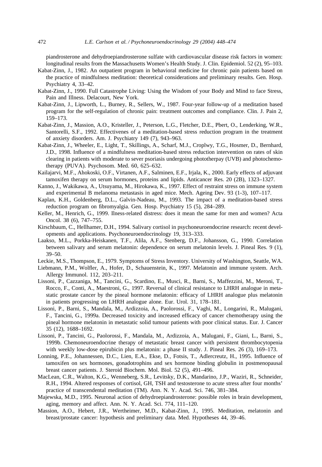<span id="page-24-0"></span>piandrosterone and dehydroepiandrosterone sulfate with cardiovascular disease risk factors in women: longitudinal results from the Massachusetts Women's Health Study. J. Clin. Epidemiol. 52 (2), 95–103.

- Kabat-Zinn, J., 1982. An outpatient program in behavioral medicine for chronic pain patients based on the practice of mindfulness meditation: theoretical considerations and preliminary results. Gen. Hosp. Psychiatry 4, 33–42.
- Kabat-Zinn, J., 1990. Full Catastrophe Living: Using the Wisdom of your Body and Mind to face Stress, Pain and Illness. Delacourt, New York.
- Kabat-Zinn, J., Lipworth, L., Burney, R., Sellers, W., 1987. Four-year follow-up of a meditation based program for the self-regulation of chronic pain: treatment outcomes and compliance. Clin. J. Pain 2, 159–173.
- Kabat-Zinn, J., Massion, A.O., Kristeller, J., Peterson, L.G., Fletcher, D.E., Pbert, O., Lenderking, W.R., Santorelli, S.F., 1992. Effectivenes of a meditation-based stress reduction program in the treatment of anxiety disorders. Am. J. Psychiatry 149 (7), 943–963.
- Kabat-Zinn, J., Wheeler, E., Light, T., Skillings, A., Scharf, M.J., Croplwy, T.G., Hosmer, D., Bernhard, J.D., 1998. Influence of a mindfulness meditation-based stress reduction intervention on rates of skin clearing in patients with moderate to sever psoriasis undergoing phototherpay (UVB) and photochemotherapy (PUVA). Psychosom. Med. 60, 625–632.
- Kailajarvi, M.F., Ahokoski, O.F., Virtanen, A.F., Salminen, E.F., Irjala, K., 2000. Early effects of adjuvant tamoxifen therapy on serum hormones, proteins and lipids. Anticancer Res. 20 (2B), 1323–1327.
- Kanno, J., Wakikawa, A., Utsuyama, M., Hirokawa, K., 1997. Effect of restraint stress on immune system and experimental B melanoma metastasis in aged mice. Mech. Ageing Dev. 93 (1-3), 107–117.
- Kaplan, K.H., Goldenberg, D.L., Galvin-Nadeau, M., 1993. The impact of a meditation-based stress reduction program on fibromyalgia. Gen. Hosp. Psychiatry 15 (5), 284–289.
- Keller, M., Henrich, G., 1999. Ilness-related distress: does it mean the same for men and women? Acta Oncol. 38 (6), 747–755.
- Kirschbaum, C., Hellhamer, D.H., 1994. Salivary cortisol in psychoneuroendocrine research: recent developments and applications. Psychoneuroendocrinology 19, 313–333.
- Laakso, M.L., Porkka-Heiskanen, T.F., Alila, A.F., Stenberg, D.F., Johansson, G., 1990. Correlation between salivary and serum melatonin: dependence on serum melatonin levels. J. Pineal Res. 9 (1), 39–50.
- Leckie, M.S., Thompson, E., 1979. Symptoms of Stress Inventory. University of Washington, Seattle, WA.
- Liebmann, P.M., Wolfler, A., Hofer, D., Schauenstein, K., 1997. Melatonin and immune system. Arch. Allergy Immunol. 112, 203–211.
- Lissoni, P., Cazzaniga, M., Tancini, G., Scardino, E., Musci, R., Barni, S., Maffezzini, M., Meroni, T., Rocco, F., Conti, A., Maestroni, G., 1997. Reversal of clinical resistance to LHRH analogue in metastatic prostate cancer by the pineal hormone melatonin: efficacy of LHRH analogue plus melatonin in patients progressing on LHRH analogue alone. Eur. Urol. 31, 178–181.
- Lissoni, P., Barni, S., Mandala, M., Ardizzoia, A., Paolorossi, F., Vaghi, M., Longarini, R., Malugani, F., Tancini, G., 1999a. Decreased toxicity and increased efficacy of cancer chemotherapy using the pineal hormone melatonin in metastatic solid tumour patients with poor clinical status. Eur. J. Cancer 35 (12), 1688–1692.
- Lissoni, P., Tancini, G., Paolorossi, F., Mandala, M., Ardizzoia, A., Malugani, F., Giani, L., Barni, S., 1999b. Chemoneuroendocrine therapy of metastatic breast cancer with persistent thrombocytopenia with weekly low-dose epirubicin plus melatonin: a phase II study. J. Pineal Res. 26 (3), 169-173.
- Lonning, P.E., Johannessen, D.C., Lien, E.A., Ekse, D., Fotsis, T., Adlercreutz, H., 1995. Influence of tamoxifen on sex hormones, gonadotrophins and sex hormone binding globulin in postmenopausal breast cancer patients. J. Steroid Biochem. Mol. Biol. 52 (5), 491–496.
- MacLean, C.R., Walton, K.G., Wenneberg, S.R., Levitsky, D.K., Mandarino, J.P., Waziri, R., Schneider, R.H., 1994. Altered responses of cortisol, GH, TSH and testosterone to acute stress after four months' practice of transcendental meditation (TM). Ann. N. Y. Acad. Sci. 746, 381–384.
- Majewska, M.D., 1995. Neuronal action of dehydroepiandrosterone: possible roles in brain development, aging, memory and affect. Ann. N. Y. Acad. Sci. 774, 111–120.
- Massion, A.O., Hebert, J.R., Wertheimer, M.D., Kabat-Zinn, J., 1995. Meditation, melatonin and breast/prostate cancer: hypothesis and preliminary data. Med. Hypotheses 44, 39–46.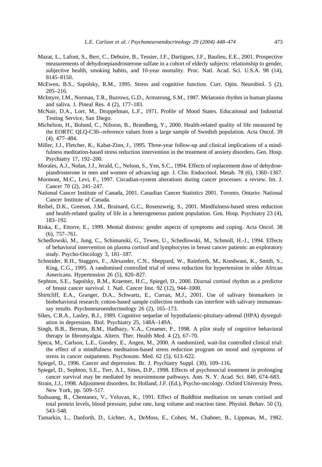- <span id="page-25-0"></span>Mazat, L., Lafont, S., Berr, C., Debuire, B., Tessier, J.F., Dartigues, J.F., Baulieu, E.E., 2001. Prospective measurements of dehydroepiandrosterone sulfate in a cohort of elderly subjects: relationship to gender, subjective health, smoking habits, and 10-year mortality. Proc. Natl. Acad. Sci. U.S.A. 98 (14), 8145–8150.
- McEwen, B.S., Sapolsky, R.M., 1995. Stress and cognitive function. Curr. Opin. Neurobiol. 5 (2), 205–216.
- McIntyre, I.M., Norman, T.R., Burrows, G.D., Armstrong, S.M., 1987. Melatonin rhythm in human plasma and saliva. J. Pineal Res. 4 (2), 177–183.
- McNair, D.A., Lorr, M., Droppelman, L.F., 1971. Profile of Mood States. Educational and Industrial Testing Service, San Diego.
- Michelson, H., Bolund, C., Nilsson, B., Brandberg, Y., 2000. Health-related quality of life measured by the EORTC QLQ-C30--reference values from a large sample of Swedish population. Acta Oncol. 39 (4), 477–484.
- Miller, J.J., Fletcher, K., Kabat-Zinn, J., 1995. Three-year follow-up and clinical implications of a mindfulness meditation-based stress reduction intervention in the treatment of anxiety disorders. Gen. Hosp. Psychiatry 17, 192–200.
- Morales, A.J., Nolan, J.J., Jerald, C., Nelson, S., Yen, S.C., 1994. Effects of replacement dose of dehydroepiandrosterone in men and women of advancing age. J. Clin. Endocrinol. Metab. 78 (6), 1360–1367.
- Mormont, M.C., Levi, F., 1997. Circadian-system alterations during cancer processes: a review. Int. J. Cancer 70 (2), 241–247.
- National Cancer Institute of Canada, 2001. Canadian Cancer Statistics 2001. Toronto, Ontario: National Cancer Institute of Canada.
- Reibel, D.K., Greeson, J.M., Brainard, G.C., Rosenzweig, S., 2001. Mindfulness-based stress reduction and health-related quality of life in a heterogeneous patient population. Gen. Hosp. Psychiatry 23 (4), 183–192.
- Riska, E., Ettorre, E., 1999. Mental distress: gender aspects of symptoms and coping. Acta Oncol. 38 (6), 757–761.
- Schedlowski, M., Jung, C., Schimanski, G., Tewes, U., Schedlowski, M., Schmoll, H.-J., 1994. Effects of behavioral intervention on plasma cortisol and lymphocytes in breast cancer patients: an exploratory study. Psycho-Oncology 3, 181–187.
- Schneider, R.H., Staggers, F., Alexander, C.N., Sheppard, W., Rainforth, M., Kondwani, K., Smith, S., King, C.G., 1995. A randomised controlled trial of stress reduction for hypertension in older African Americans. Hypertension 26 (5), 820–827.
- Sephton, S.E., Sapolsky, R.M., Kraemer, H.C., Spiegel, D., 2000. Diurnal cortisol rhythm as a predictor of breast cancer survival. J. Natl. Cancer Inst. 92 (12), 944–1000.
- Shirtcliff, E.A., Granger, D.A., Schwartz, E., Curran, M.J., 2001. Use of salivary biomarkers in biobehavioral research: cotton-based sample collection methods can interfere with salivary immunoassay results. Psychoneuroendocrinology 26 (2), 165–173.
- Sikes, C.R.A., Lasley, B.J., 1989. Cognitive sequelae of hypothalamic-pituitary-adrenal (HPA) dysregulation in depression. Biol. Psychiatry 25, 148A–149A.
- Singh, B.B., Berman, B.M., Hadhazy, V.A., Creamer, P., 1998. A pilot study of cognitive behavioral therapy in fibromyalgia. Altern. Ther. Health Med. 4 (2), 67–70.
- Speca, M., Carlson, L.E., Goodey, E., Angen, M., 2000. A randomized, wait-list controlled clinical trial: the effect of a mindfulness meditation-based stress reduction program on mood and symptoms of stress in cancer outpatients. Psychosom. Med. 62 (5), 613–622.
- Spiegel, D., 1996. Cancer and depression. Br. J. Psychiatry Suppl. (30), 109–116.
- Spiegel, D., Sephton, S.E., Terr, A.I., Sittes, D.P., 1998. Effects of psychosocial treatment in prolonging cancer survival may be mediated by neuroimmune pathways. Ann. N. Y. Acad. Sci. 840, 674–683.
- Strain, J.J., 1998. Adjustment disorders. In: Holland, J.F. (Ed.), Psycho-oncology. Oxford University Press, New York, pp. 509–517.
- Sudsuang, R., Chentanez, V., Veluvan, K., 1991. Effect of Buddhist meditation on serum cortisol and total protein levels, blood pressure, pulse rate, lung volume and reaction time. Physiol. Behav. 50 (3), 543–548.
- Tamarkin, L., Danforth, D., Lichter, A., DeMoss, E., Cohen, M., Chabner, B., Lippman, M., 1982.